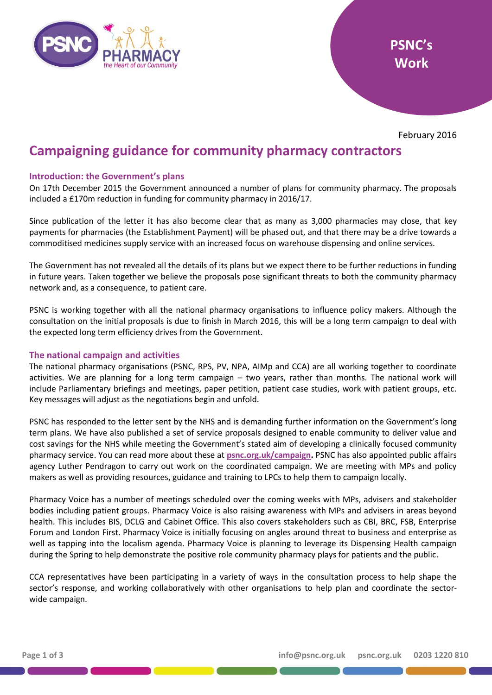



February 2016

# **Campaigning guidance for community pharmacy contractors**

## **Introduction: the Government's plans**

On 17th December 2015 the Government announced a number of plans for community pharmacy. The proposals included a £170m reduction in funding for community pharmacy in 2016/17.

Since publication of the letter it has also become clear that as many as 3,000 pharmacies may close, that key payments for pharmacies (the Establishment Payment) will be phased out, and that there may be a drive towards a commoditised medicines supply service with an increased focus on warehouse dispensing and online services.

The Government has not revealed all the details of its plans but we expect there to be further reductions in funding in future years. Taken together we believe the proposals pose significant threats to both the community pharmacy network and, as a consequence, to patient care.

PSNC is working together with all the national pharmacy organisations to influence policy makers. Although the consultation on the initial proposals is due to finish in March 2016, this will be a long term campaign to deal with the expected long term efficiency drives from the Government.

#### **The national campaign and activities**

The national pharmacy organisations (PSNC, RPS, PV, NPA, AIMp and CCA) are all working together to coordinate activities. We are planning for a long term campaign – two years, rather than months. The national work will include Parliamentary briefings and meetings, paper petition, patient case studies, work with patient groups, etc. Key messages will adjust as the negotiations begin and unfold.

PSNC has responded to the letter sent by the NHS and is demanding further information on the Government's long term plans. We have also published a set of service proposals designed to enable community to deliver value and cost savings for the NHS while meeting the Government's stated aim of developing a clinically focused community pharmacy service. You can read more about these at **[psnc.org.uk/campaign.](http://psnc.org.uk/campaign)** PSNC has also appointed public affairs agency Luther Pendragon to carry out work on the coordinated campaign. We are meeting with MPs and policy makers as well as providing resources, guidance and training to LPCs to help them to campaign locally.

Pharmacy Voice has a number of meetings scheduled over the coming weeks with MPs, advisers and stakeholder bodies including patient groups. Pharmacy Voice is also raising awareness with MPs and advisers in areas beyond health. This includes BIS, DCLG and Cabinet Office. This also covers stakeholders such as CBI, BRC, FSB, Enterprise Forum and London First. Pharmacy Voice is initially focusing on angles around threat to business and enterprise as well as tapping into the localism agenda. Pharmacy Voice is planning to leverage its Dispensing Health campaign during the Spring to help demonstrate the positive role community pharmacy plays for patients and the public.

CCA representatives have been participating in a variety of ways in the consultation process to help shape the sector's response, and working collaboratively with other organisations to help plan and coordinate the sectorwide campaign.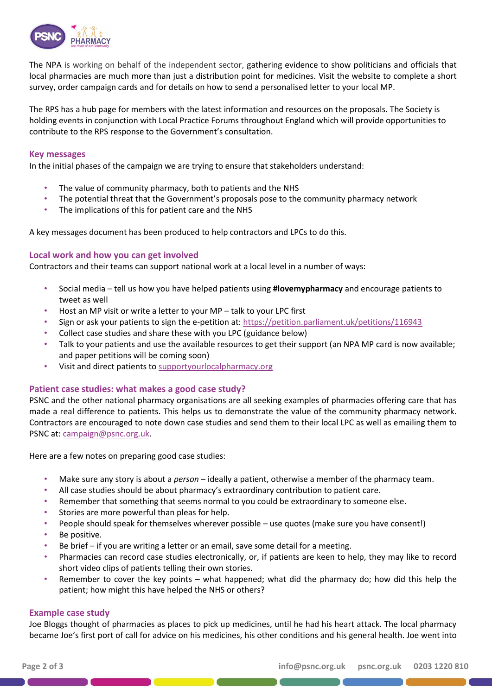

The NPA is working on behalf of the independent sector, gathering evidence to show politicians and officials that local pharmacies are much more than just a distribution point for medicines. Visit the website to complete a short survey, order campaign cards and for details on how to send a personalised letter to your local MP.

The RPS has a hub page for members with the latest information and resources on the proposals. The Society is holding events in conjunction with Local Practice Forums throughout England which will provide opportunities to contribute to the RPS response to the Government's consultation.

#### **Key messages**

In the initial phases of the campaign we are trying to ensure that stakeholders understand:

- The value of community pharmacy, both to patients and the NHS
- The potential threat that the Government's proposals pose to the community pharmacy network
- The implications of this for patient care and the NHS

A key messages document has been produced to help contractors and LPCs to do this.

#### **Local work and how you can get involved**

Contractors and their teams can support national work at a local level in a number of ways:

- Social media tell us how you have helped patients using **#lovemypharmacy** and encourage patients to tweet as well
- Host an MP visit or write a letter to your MP talk to your LPC first
- Sign or ask your patients to sign the e-petition at:<https://petition.parliament.uk/petitions/116943>
- Collect case studies and share these with you LPC (guidance below)
- Talk to your patients and use the available resources to get their support (an NPA MP card is now available; and paper petitions will be coming soon)
- Visit and direct patients to [supportyourlocalpharmacy.org](http://supportyourlocalpharmacy.org/)

#### **Patient case studies: what makes a good case study?**

PSNC and the other national pharmacy organisations are all seeking examples of pharmacies offering care that has made a real difference to patients. This helps us to demonstrate the value of the community pharmacy network. Contractors are encouraged to note down case studies and send them to their local LPC as well as emailing them to PSNC at: [campaign@psnc.org.uk.](mailto:campaign@psnc.org.uk)

Here are a few notes on preparing good case studies:

- Make sure any story is about a *person*  ideally a patient, otherwise a member of the pharmacy team.
- All case studies should be about pharmacy's extraordinary contribution to patient care.
- Remember that something that seems normal to you could be extraordinary to someone else.
- Stories are more powerful than pleas for help.
- People should speak for themselves wherever possible use quotes (make sure you have consent!)
- Be positive.
- Be brief if you are writing a letter or an email, save some detail for a meeting.
- Pharmacies can record case studies electronically, or, if patients are keen to help, they may like to record short video clips of patients telling their own stories.
- Remember to cover the key points what happened; what did the pharmacy do; how did this help the patient; how might this have helped the NHS or others?

#### **Example case study**

Joe Bloggs thought of pharmacies as places to pick up medicines, until he had his heart attack. The local pharmacy became Joe's first port of call for advice on his medicines, his other conditions and his general health. Joe went into